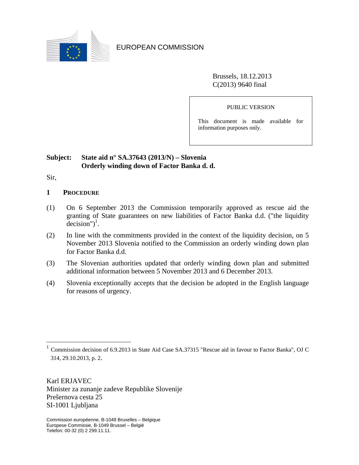

EUROPEAN COMMISSION

Brussels, 18.12.2013 C(2013) 9640 final

PUBLIC VERSION

This document is made available for information purposes only.

# **Subject: State aid n° SA.37643 (2013/N) – Slovenia Orderly winding down of Factor Banka d. d.**

Sir,

 $\overline{a}$ 

- **1 PROCEDURE**
- (1) On 6 September 2013 the Commission temporarily approved as rescue aid the granting of State guarantees on new liabilities of Factor Banka d.d. ("the liquidity  $decision")^1$ .
- (2) In line with the commitments provided in the context of the liquidity decision, on 5 November 2013 Slovenia notified to the Commission an orderly winding down plan for Factor Banka d.d.
- (3) The Slovenian authorities updated that orderly winding down plan and submitted additional information between 5 November 2013 and 6 December 2013.
- (4) Slovenia exceptionally accepts that the decision be adopted in the English language for reasons of urgency.

Karl ERJAVEC Minister za zunanje zadeve Republike Slovenije Prešernova cesta 25 SI-1001 Ljubljana

<sup>&</sup>lt;sup>1</sup> Commission decision of 6.9.2013 in State Aid Case SA.37315 "Rescue aid in favour to Factor Banka", OJ C 314, 29.10.2013, p. 2.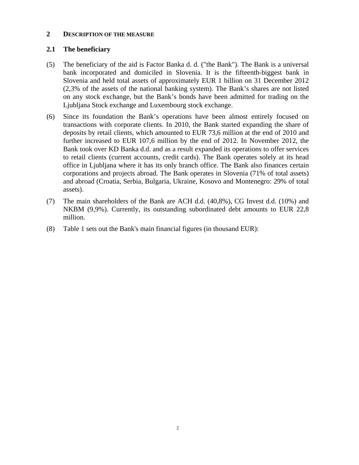#### **2 DESCRIPTION OF THE MEASURE**

### **2.1 The beneficiary**

- (5) The beneficiary of the aid is Factor Banka d. d. ("the Bank"). The Bank is a universal bank incorporated and domiciled in Slovenia. It is the fifteenth-biggest bank in Slovenia and held total assets of approximately EUR 1 billion on 31 December 2012 (2,3% of the assets of the national banking system). The Bank's shares are not listed on any stock exchange, but the Bank's bonds have been admitted for trading on the Ljubljana Stock exchange and Luxembourg stock exchange.
- (6) Since its foundation the Bank's operations have been almost entirely focused on transactions with corporate clients. In 2010, the Bank started expanding the share of deposits by retail clients, which amounted to EUR 73,6 million at the end of 2010 and further increased to EUR 107,6 million by the end of 2012. In November 2012, the Bank took over KD Banka d.d. and as a result expanded its operations to offer services to retail clients (current accounts, credit cards). The Bank operates solely at its head office in Ljubljana where it has its only branch office. The Bank also finances certain corporations and projects abroad. The Bank operates in Slovenia (71% of total assets) and abroad (Croatia, Serbia, Bulgaria, Ukraine, Kosovo and Montenegro: 29% of total assets).
- (7) The main shareholders of the Bank are ACH d.d. (40,8%), CG Invest d.d. (10%) and NKBM (9,9%). Currently, its outstanding subordinated debt amounts to EUR 22,8 million.
- (8) Table 1 sets out the Bank's main financial figures (in thousand EUR):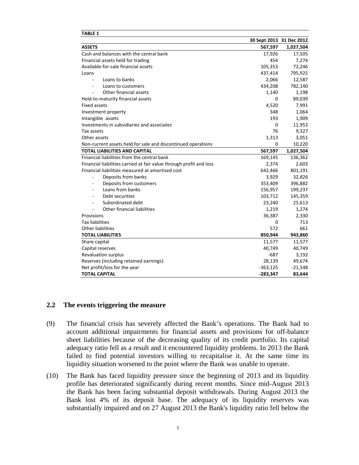| IABLE 1                                                             |                          |           |
|---------------------------------------------------------------------|--------------------------|-----------|
|                                                                     | 30 Sept 2013 31 Dec 2012 |           |
| <b>ASSETS</b>                                                       | 567,597                  | 1,027,504 |
| Cash and balances with the central bank                             | 17,926                   | 17,505    |
| Financial assets held for trading                                   | 454                      | 7,274     |
| Available-for-sale financial assets                                 | 105,353                  | 72,246    |
| Loans                                                               | 437,414                  | 795,925   |
| Loans to banks<br>ä,                                                | 2,066                    | 12,587    |
| Loans to customers                                                  | 434,208                  | 782,140   |
| Other financial assets                                              | 1,140                    | 1,198     |
| Held-to-maturity financial assets                                   | 0                        | 89,039    |
| <b>Fixed assets</b>                                                 | 4,520                    | 7,991     |
| Investment property                                                 | 348                      | 1,064     |
| Intangible assets                                                   | 193                      | 1,909     |
| Investments in subsidiaries and associates                          | $\mathbf 0$              | 11,953    |
| Tax assets                                                          | 76                       | 9,327     |
| Other assets                                                        | 1,313                    | 3,051     |
| Non-current assets held for sale and discontinued operations        | 0                        | 10,220    |
| <b>TOTAL LIABILITIES AND CAPITAL</b>                                | 567,597                  | 1,027,504 |
| Financial liabilities from the central bank                         | 169,145                  | 136,362   |
| Financial liabilities carried at fair value through profit and loss | 2,374                    | 2,603     |
| Financial liabilities measured at amortised cost                    | 642,466                  | 801,191   |
| Deposits from banks<br>÷,                                           | 3,929                    | 32,826    |
| Deposits from customers                                             | 353,409                  | 396,882   |
| Loans from banks<br>٠                                               | 156,957                  | 199,237   |
| Debt securities<br>ä,                                               | 103,712                  | 145,359   |
| Subordinated debt<br>÷                                              | 23,240                   | 25,613    |
| Other financial liabilities                                         | 1,219                    | 1,274     |
| Provisions                                                          | 36,387                   | 2,330     |
| <b>Tax liabilities</b>                                              | 0                        | 713       |
| <b>Other liabilities</b>                                            | 572                      | 661       |
| <b>TOTAL LIABILITIES</b>                                            | 850,944                  | 943,860   |
| Share capital                                                       | 11,577                   | 11,577    |
| Capital reserves                                                    | 40,749                   | 40,749    |
| <b>Revaluation surplus</b>                                          | $-687$                   | 3,192     |
| Reserves (including retained earnings)                              | 28,139                   | 49,674    |
| Net profit/loss for the year                                        | $-363,125$               | $-21,548$ |
| <b>TOTAL CAPITAL</b>                                                | $-283,347$               | 83,644    |

#### **2.2 The events triggering the measure**

**TABLE 1** 

- (9) The financial crisis has severely affected the Bank's operations. The Bank had to account additional impairments for financial assets and provisions for off-balance sheet liabilities because of the decreasing quality of its credit portfolio. Its capital adequacy ratio fell as a result and it encountered liquidity problems. In 2013 the Bank failed to find potential investors willing to recapitalise it. At the same time its liquidity situation worsened to the point where the Bank was unable to operate.
- (10) The Bank has faced liquidity pressure since the beginning of 2013 and its liquidity profile has deteriorated significantly during recent months. Since mid-August 2013 the Bank has been facing substantial deposit withdrawals. During August 2013 the Bank lost 4% of its deposit base. The adequacy of its liquidity reserves was substantially impaired and on 27 August 2013 the Bank's liquidity ratio fell below the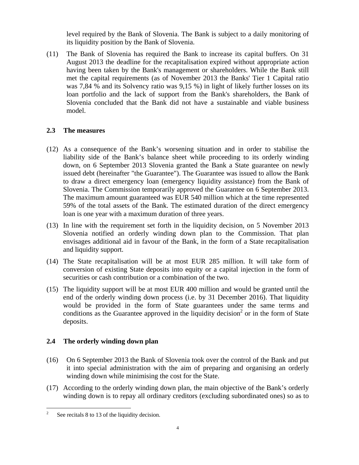level required by the Bank of Slovenia. The Bank is subject to a daily monitoring of its liquidity position by the Bank of Slovenia.

(11) The Bank of Slovenia has required the Bank to increase its capital buffers. On 31 August 2013 the deadline for the recapitalisation expired without appropriate action having been taken by the Bank's management or shareholders. While the Bank still met the capital requirements (as of November 2013 the Banks' Tier 1 Capital ratio was 7,84 % and its Solvency ratio was 9,15 %) in light of likely further losses on its loan portfolio and the lack of support from the Bank's shareholders, the Bank of Slovenia concluded that the Bank did not have a sustainable and viable business model.

# **2.3 The measures**

- (12) As a consequence of the Bank's worsening situation and in order to stabilise the liability side of the Bank's balance sheet while proceeding to its orderly winding down, on 6 September 2013 Slovenia granted the Bank a State guarantee on newly issued debt (hereinafter "the Guarantee"). The Guarantee was issued to allow the Bank to draw a direct emergency loan (emergency liquidity assistance) from the Bank of Slovenia. The Commission temporarily approved the Guarantee on 6 September 2013. The maximum amount guaranteed was EUR 540 million which at the time represented 59% of the total assets of the Bank. The estimated duration of the direct emergency loan is one year with a maximum duration of three years.
- (13) In line with the requirement set forth in the liquidity decision, on 5 November 2013 Slovenia notified an orderly winding down plan to the Commission. That plan envisages additional aid in favour of the Bank, in the form of a State recapitalisation and liquidity support.
- (14) The State recapitalisation will be at most EUR 285 million. It will take form of conversion of existing State deposits into equity or a capital injection in the form of securities or cash contribution or a combination of the two.
- (15) The liquidity support will be at most EUR 400 million and would be granted until the end of the orderly winding down process (i.e. by 31 December 2016). That liquidity would be provided in the form of State guarantees under the same terms and conditions as the Guarantee approved in the liquidity decision<sup>2</sup> or in the form of State deposits.

# **2.4 The orderly winding down plan**

- (16) On 6 September 2013 the Bank of Slovenia took over the control of the Bank and put it into special administration with the aim of preparing and organising an orderly winding down while minimising the cost for the State.
- (17) According to the orderly winding down plan, the main objective of the Bank's orderly winding down is to repay all ordinary creditors (excluding subordinated ones) so as to

 $\frac{1}{2}$ See recitals 8 to 13 of the liquidity decision.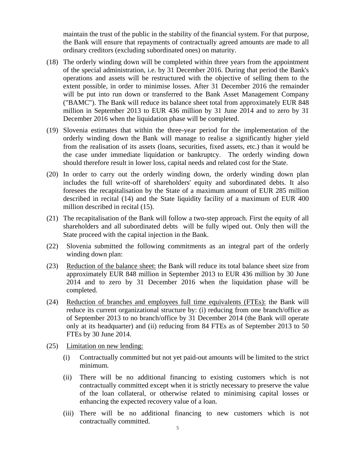maintain the trust of the public in the stability of the financial system. For that purpose, the Bank will ensure that repayments of contractually agreed amounts are made to all ordinary creditors (excluding subordinated ones) on maturity.

- (18) The orderly winding down will be completed within three years from the appointment of the special administration, i.e. by 31 December 2016. During that period the Bank's operations and assets will be restructured with the objective of selling them to the extent possible, in order to minimise losses. After 31 December 2016 the remainder will be put into run down or transferred to the Bank Asset Management Company ("BAMC"). The Bank will reduce its balance sheet total from approximately EUR 848 million in September 2013 to EUR 436 million by 31 June 2014 and to zero by 31 December 2016 when the liquidation phase will be completed.
- (19) Slovenia estimates that within the three-year period for the implementation of the orderly winding down the Bank will manage to realise a significantly higher yield from the realisation of its assets (loans, securities, fixed assets, etc.) than it would be the case under immediate liquidation or bankruptcy. The orderly winding down should therefore result in lower loss, capital needs and related cost for the State.
- (20) In order to carry out the orderly winding down, the orderly winding down plan includes the full write-off of shareholders' equity and subordinated debts. It also foresees the recapitalisation by the State of a maximum amount of EUR 285 million described in recital (14) and the State liquidity facility of a maximum of EUR 400 million described in recital (15).
- (21) The recapitalisation of the Bank will follow a two-step approach. First the equity of all shareholders and all subordinated debts will be fully wiped out. Only then will the State proceed with the capital injection in the Bank.
- (22) Slovenia submitted the following commitments as an integral part of the orderly winding down plan:
- (23) Reduction of the balance sheet: the Bank will reduce its total balance sheet size from approximately EUR 848 million in September 2013 to EUR 436 million by 30 June 2014 and to zero by 31 December 2016 when the liquidation phase will be completed.
- (24) Reduction of branches and employees full time equivalents (FTEs): the Bank will reduce its current organizational structure by: (i) reducing from one branch/office as of September 2013 to no branch/office by 31 December 2014 (the Bank will operate only at its headquarter) and (ii) reducing from 84 FTEs as of September 2013 to 50 FTEs by 30 June 2014.
- (25) Limitation on new lending:
	- (i) Contractually committed but not yet paid-out amounts will be limited to the strict minimum.
	- (ii) There will be no additional financing to existing customers which is not contractually committed except when it is strictly necessary to preserve the value of the loan collateral, or otherwise related to minimising capital losses or enhancing the expected recovery value of a loan.
	- (iii) There will be no additional financing to new customers which is not contractually committed.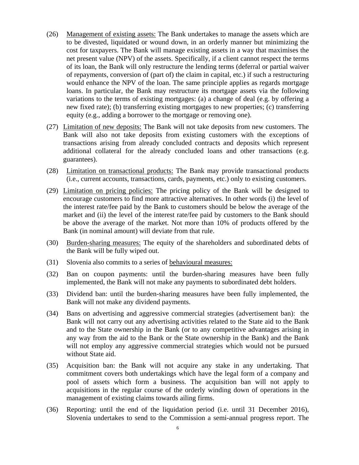- (26) Management of existing assets: The Bank undertakes to manage the assets which are to be divested, liquidated or wound down, in an orderly manner but minimizing the cost for taxpayers. The Bank will manage existing assets in a way that maximises the net present value (NPV) of the assets. Specifically, if a client cannot respect the terms of its loan, the Bank will only restructure the lending terms (deferral or partial waiver of repayments, conversion of (part of) the claim in capital, etc.) if such a restructuring would enhance the NPV of the loan. The same principle applies as regards mortgage loans. In particular, the Bank may restructure its mortgage assets via the following variations to the terms of existing mortgages: (a) a change of deal (e.g. by offering a new fixed rate); (b) transferring existing mortgages to new properties; (c) transferring equity (e.g., adding a borrower to the mortgage or removing one).
- (27) Limitation of new deposits: The Bank will not take deposits from new customers. The Bank will also not take deposits from existing customers with the exceptions of transactions arising from already concluded contracts and deposits which represent additional collateral for the already concluded loans and other transactions (e.g. guarantees).
- (28) Limitation on transactional products: The Bank may provide transactional products (i.e., current accounts, transactions, cards, payments, etc.) only to existing customers.
- (29) Limitation on pricing policies: The pricing policy of the Bank will be designed to encourage customers to find more attractive alternatives. In other words (i) the level of the interest rate/fee paid by the Bank to customers should be below the average of the market and (ii) the level of the interest rate/fee paid by customers to the Bank should be above the average of the market. Not more than 10% of products offered by the Bank (in nominal amount) will deviate from that rule.
- (30) Burden-sharing measures: The equity of the shareholders and subordinated debts of the Bank will be fully wiped out.
- (31) Slovenia also commits to a series of behavioural measures:
- (32) Ban on coupon payments: until the burden-sharing measures have been fully implemented, the Bank will not make any payments to subordinated debt holders.
- (33) Dividend ban: until the burden-sharing measures have been fully implemented, the Bank will not make any dividend payments.
- (34) Bans on advertising and aggressive commercial strategies (advertisement ban): the Bank will not carry out any advertising activities related to the State aid to the Bank and to the State ownership in the Bank (or to any competitive advantages arising in any way from the aid to the Bank or the State ownership in the Bank) and the Bank will not employ any aggressive commercial strategies which would not be pursued without State aid.
- (35) Acquisition ban: the Bank will not acquire any stake in any undertaking. That commitment covers both undertakings which have the legal form of a company and pool of assets which form a business. The acquisition ban will not apply to acquisitions in the regular course of the orderly winding down of operations in the management of existing claims towards ailing firms.
- (36) Reporting: until the end of the liquidation period (i.e. until 31 December 2016), Slovenia undertakes to send to the Commission a semi-annual progress report. The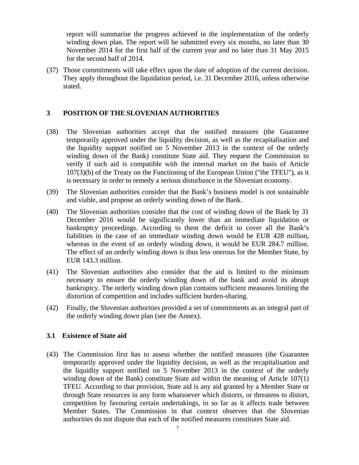report will summarise the progress achieved in the implementation of the orderly winding down plan. The report will be submitted every six months, no later than 30 November 2014 for the first half of the current year and no later than 31 May 2015 for the second half of 2014.

(37) Those commitments will take effect upon the date of adoption of the current decision. They apply throughout the liquidation period, i.e. 31 December 2016, unless otherwise stated.

### **3 POSITION OF THE SLOVENIAN AUTHORITIES**

- (38) The Slovenian authorities accept that the notified measures (the Guarantee temporarily approved under the liquidity decision, as well as the recapitalisation and the liquidity support notified on 5 November 2013 in the context of the orderly winding down of the Bank) constitute State aid. They request the Commission to verify if such aid is compatible with the internal market on the basis of Article 107(3)(b) of the Treaty on the Functioning of the European Union ("the TFEU"), as it is necessary in order to remedy a serious disturbance in the Slovenian economy.
- (39) The Slovenian authorities consider that the Bank's business model is not sustainable and viable, and propose an orderly winding down of the Bank.
- (40) The Slovenian authorities consider that the cost of winding down of the Bank by 31 December 2016 would be significantly lower than an immediate liquidation or bankruptcy proceedings. According to them the deficit to cover all the Bank's liabilities in the case of an immediate winding down would be EUR 428 million, whereas in the event of an orderly winding down, it would be EUR 284.7 million. The effect of an orderly winding down is thus less onerous for the Member State, by EUR 143.3 million.
- (41) The Slovenian authorities also consider that the aid is limited to the minimum necessary to ensure the orderly winding down of the bank and avoid its abrupt bankruptcy. The orderly winding down plan contains sufficient measures limiting the distortion of competition and includes sufficient burden-sharing.
- (42) Finally, the Slovenian authorities provided a set of commitments as an integral part of the orderly winding down plan (see the Annex).

#### **3.1 Existence of State aid**

(43) The Commission first has to assess whether the notified measures (the Guarantee temporarily approved under the liquidity decision, as well as the recapitalisation and the liquidity support notified on 5 November 2013 in the context of the orderly winding down of the Bank) constitute State aid within the meaning of Article 107(1) TFEU. According to that provision, State aid is any aid granted by a Member State or through State resources in any form whatsoever which distorts, or threatens to distort, competition by favouring certain undertakings, in so far as it affects trade between Member States. The Commission in that context observes that the Slovenian authorities do not dispute that each of the notified measures constitutes State aid.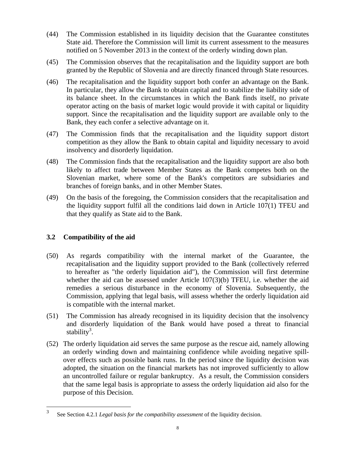- (44) The Commission established in its liquidity decision that the Guarantee constitutes State aid. Therefore the Commission will limit its current assessment to the measures notified on 5 November 2013 in the context of the orderly winding down plan.
- (45) The Commission observes that the recapitalisation and the liquidity support are both granted by the Republic of Slovenia and are directly financed through State resources.
- (46) The recapitalisation and the liquidity support both confer an advantage on the Bank. In particular, they allow the Bank to obtain capital and to stabilize the liability side of its balance sheet. In the circumstances in which the Bank finds itself, no private operator acting on the basis of market logic would provide it with capital or liquidity support. Since the recapitalisation and the liquidity support are available only to the Bank, they each confer a selective advantage on it.
- (47) The Commission finds that the recapitalisation and the liquidity support distort competition as they allow the Bank to obtain capital and liquidity necessary to avoid insolvency and disorderly liquidation.
- (48) The Commission finds that the recapitalisation and the liquidity support are also both likely to affect trade between Member States as the Bank competes both on the Slovenian market, where some of the Bank's competitors are subsidiaries and branches of foreign banks, and in other Member States.
- (49) On the basis of the foregoing, the Commission considers that the recapitalisation and the liquidity support fulfil all the conditions laid down in Article 107(1) TFEU and that they qualify as State aid to the Bank.

# **3.2 Compatibility of the aid**

- (50) As regards compatibility with the internal market of the Guarantee, the recapitalisation and the liquidity support provided to the Bank (collectively referred to hereafter as "the orderly liquidation aid"), the Commission will first determine whether the aid can be assessed under Article 107(3)(b) TFEU, i.e. whether the aid remedies a serious disturbance in the economy of Slovenia. Subsequently, the Commission, applying that legal basis, will assess whether the orderly liquidation aid is compatible with the internal market.
- (51) The Commission has already recognised in its liquidity decision that the insolvency and disorderly liquidation of the Bank would have posed a threat to financial stability<sup>3</sup>.
- (52) The orderly liquidation aid serves the same purpose as the rescue aid, namely allowing an orderly winding down and maintaining confidence while avoiding negative spillover effects such as possible bank runs. In the period since the liquidity decision was adopted, the situation on the financial markets has not improved sufficiently to allow an uncontrolled failure or regular bankruptcy. As a result, the Commission considers that the same legal basis is appropriate to assess the orderly liquidation aid also for the purpose of this Decision.

 $\frac{1}{3}$ See Section 4.2.1 *Legal basis for the compatibility assessment* of the liquidity decision.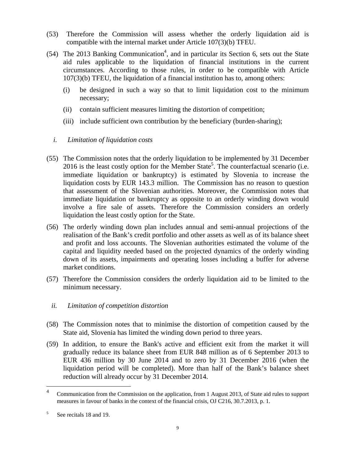- (53) Therefore the Commission will assess whether the orderly liquidation aid is compatible with the internal market under Article 107(3)(b) TFEU.
- $(54)$  The 2013 Banking Communication<sup>4</sup>, and in particular its Section 6, sets out the State aid rules applicable to the liquidation of financial institutions in the current circumstances. According to those rules, in order to be compatible with Article 107(3)(b) TFEU, the liquidation of a financial institution has to, among others:
	- (i) be designed in such a way so that to limit liquidation cost to the minimum necessary;
	- (ii) contain sufficient measures limiting the distortion of competition;
	- (iii) include sufficient own contribution by the beneficiary (burden-sharing);
	- *i. Limitation of liquidation costs*
- (55) The Commission notes that the orderly liquidation to be implemented by 31 December 2016 is the least costly option for the Member State<sup>5</sup>. The counterfactual scenario (i.e. immediate liquidation or bankruptcy) is estimated by Slovenia to increase the liquidation costs by EUR 143.3 million. The Commission has no reason to question that assessment of the Slovenian authorities. Moreover, the Commission notes that immediate liquidation or bankruptcy as opposite to an orderly winding down would involve a fire sale of assets. Therefore the Commission considers an orderly liquidation the least costly option for the State.
- (56) The orderly winding down plan includes annual and semi-annual projections of the realisation of the Bank's credit portfolio and other assets as well as of its balance sheet and profit and loss accounts. The Slovenian authorities estimated the volume of the capital and liquidity needed based on the projected dynamics of the orderly winding down of its assets, impairments and operating losses including a buffer for adverse market conditions.
- (57) Therefore the Commission considers the orderly liquidation aid to be limited to the minimum necessary.
	- *ii. Limitation of competition distortion*
- (58) The Commission notes that to minimise the distortion of competition caused by the State aid, Slovenia has limited the winding down period to three years.
- (59) In addition, to ensure the Bank's active and efficient exit from the market it will gradually reduce its balance sheet from EUR 848 million as of 6 September 2013 to EUR 436 million by 30 June 2014 and to zero by 31 December 2016 (when the liquidation period will be completed). More than half of the Bank's balance sheet reduction will already occur by 31 December 2014.

 $\frac{1}{4}$  Communication from the Commission on the application, from 1 August 2013, of State aid rules to support measures in favour of banks in the context of the financial crisis, OJ C216, 30.7.2013, p. 1.

<sup>5</sup> See recitals 18 and 19.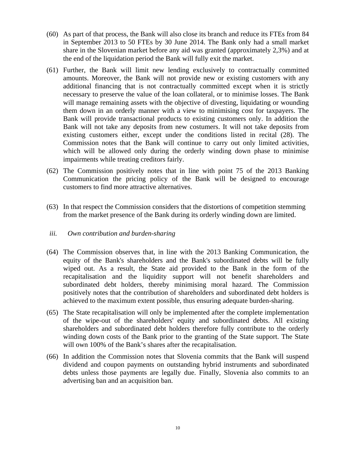- (60) As part of that process, the Bank will also close its branch and reduce its FTEs from 84 in September 2013 to 50 FTEs by 30 June 2014. The Bank only had a small market share in the Slovenian market before any aid was granted (approximately 2,3%) and at the end of the liquidation period the Bank will fully exit the market.
- (61) Further, the Bank will limit new lending exclusively to contractually committed amounts. Moreover, the Bank will not provide new or existing customers with any additional financing that is not contractually committed except when it is strictly necessary to preserve the value of the loan collateral, or to minimise losses. The Bank will manage remaining assets with the objective of divesting, liquidating or wounding them down in an orderly manner with a view to minimising cost for taxpayers. The Bank will provide transactional products to existing customers only. In addition the Bank will not take any deposits from new costumers. It will not take deposits from existing customers either, except under the conditions listed in recital (28). The Commission notes that the Bank will continue to carry out only limited activities, which will be allowed only during the orderly winding down phase to minimise impairments while treating creditors fairly.
- (62) The Commission positively notes that in line with point 75 of the 2013 Banking Communication the pricing policy of the Bank will be designed to encourage customers to find more attractive alternatives.
- (63) In that respect the Commission considers that the distortions of competition stemming from the market presence of the Bank during its orderly winding down are limited.

#### *iii. Own contribution and burden-sharing*

- (64) The Commission observes that, in line with the 2013 Banking Communication, the equity of the Bank's shareholders and the Bank's subordinated debts will be fully wiped out. As a result, the State aid provided to the Bank in the form of the recapitalisation and the liquidity support will not benefit shareholders and subordinated debt holders, thereby minimising moral hazard. The Commission positively notes that the contribution of shareholders and subordinated debt holders is achieved to the maximum extent possible, thus ensuring adequate burden-sharing.
- (65) The State recapitalisation will only be implemented after the complete implementation of the wipe-out of the shareholders' equity and subordinated debts. All existing shareholders and subordinated debt holders therefore fully contribute to the orderly winding down costs of the Bank prior to the granting of the State support. The State will own 100% of the Bank's shares after the recapitalisation.
- (66) In addition the Commission notes that Slovenia commits that the Bank will suspend dividend and coupon payments on outstanding hybrid instruments and subordinated debts unless those payments are legally due. Finally, Slovenia also commits to an advertising ban and an acquisition ban.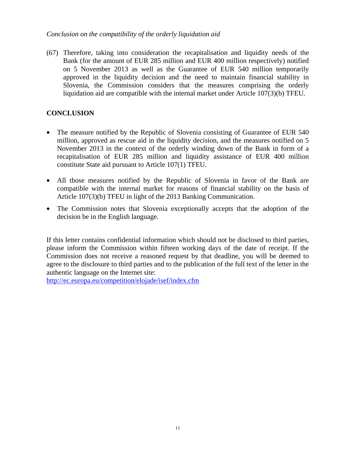### *Conclusion on the compatibility of the orderly liquidation aid*

(67) Therefore, taking into consideration the recapitalisation and liquidity needs of the Bank (for the amount of EUR 285 million and EUR 400 million respectively) notified on 5 November 2013 as well as the Guarantee of EUR 540 million temporarily approved in the liquidity decision and the need to maintain financial stability in Slovenia, the Commission considers that the measures comprising the orderly liquidation aid are compatible with the internal market under Article 107(3)(b) TFEU.

### **CONCLUSION**

- The measure notified by the Republic of Slovenia consisting of Guarantee of EUR 540 million, approved as rescue aid in the liquidity decision, and the measures notified on 5 November 2013 in the context of the orderly winding down of the Bank in form of a recapitalisation of EUR 285 million and liquidity assistance of EUR 400 million constitute State aid pursuant to Article 107(1) TFEU.
- All those measures notified by the Republic of Slovenia in favor of the Bank are compatible with the internal market for reasons of financial stability on the basis of Article 107(3)(b) TFEU in light of the 2013 Banking Communication.
- The Commission notes that Slovenia exceptionally accepts that the adoption of the decision be in the English language.

If this letter contains confidential information which should not be disclosed to third parties, please inform the Commission within fifteen working days of the date of receipt. If the Commission does not receive a reasoned request by that deadline, you will be deemed to agree to the disclosure to third parties and to the publication of the full text of the letter in the authentic language on the Internet site:

http://ec.europa.eu/competition/elojade/isef/index.cfm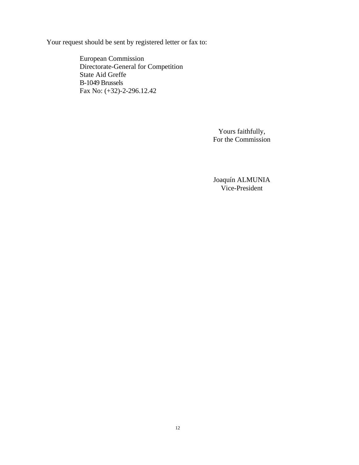Your request should be sent by registered letter or fax to:

European Commission Directorate-General for Competition State Aid Greffe B-1049 Brussels Fax No: (+32)-2-296.12.42

> Yours faithfully, For the Commission

> Joaquín ALMUNIA Vice-President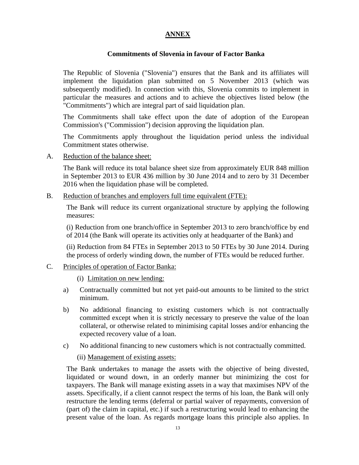# **ANNEX**

### **Commitments of Slovenia in favour of Factor Banka**

The Republic of Slovenia ("Slovenia") ensures that the Bank and its affiliates will implement the liquidation plan submitted on 5 November 2013 (which was subsequently modified). In connection with this, Slovenia commits to implement in particular the measures and actions and to achieve the objectives listed below (the "Commitments") which are integral part of said liquidation plan.

The Commitments shall take effect upon the date of adoption of the European Commission's ("Commission") decision approving the liquidation plan.

The Commitments apply throughout the liquidation period unless the individual Commitment states otherwise.

A. Reduction of the balance sheet:

The Bank will reduce its total balance sheet size from approximately EUR 848 million in September 2013 to EUR 436 million by 30 June 2014 and to zero by 31 December 2016 when the liquidation phase will be completed.

B. Reduction of branches and employers full time equivalent (FTE):

The Bank will reduce its current organizational structure by applying the following measures:

(i) Reduction from one branch/office in September 2013 to zero branch/office by end of 2014 (the Bank will operate its activities only at headquarter of the Bank) and

(ii) Reduction from 84 FTEs in September 2013 to 50 FTEs by 30 June 2014. During the process of orderly winding down, the number of FTEs would be reduced further.

- C. Principles of operation of Factor Banka:
	- (i) Limitation on new lending:
	- a) Contractually committed but not yet paid-out amounts to be limited to the strict minimum.
	- b) No additional financing to existing customers which is not contractually committed except when it is strictly necessary to preserve the value of the loan collateral, or otherwise related to minimising capital losses and/or enhancing the expected recovery value of a loan.
	- c) No additional financing to new customers which is not contractually committed.

(ii) Management of existing assets:

The Bank undertakes to manage the assets with the objective of being divested, liquidated or wound down, in an orderly manner but minimizing the cost for taxpayers. The Bank will manage existing assets in a way that maximises NPV of the assets. Specifically, if a client cannot respect the terms of his loan, the Bank will only restructure the lending terms (deferral or partial waiver of repayments, conversion of (part of) the claim in capital, etc.) if such a restructuring would lead to enhancing the present value of the loan. As regards mortgage loans this principle also applies. In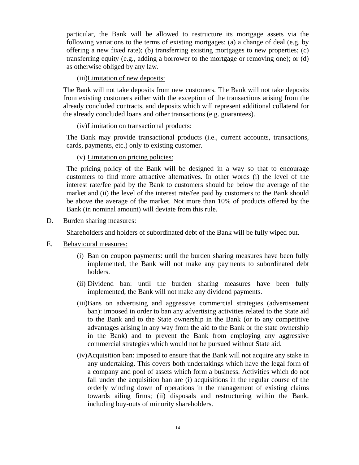particular, the Bank will be allowed to restructure its mortgage assets via the following variations to the terms of existing mortgages: (a) a change of deal (e.g. by offering a new fixed rate); (b) transferring existing mortgages to new properties; (c) transferring equity (e.g., adding a borrower to the mortgage or removing one); or (d) as otherwise obliged by any law.

(iii)Limitation of new deposits:

The Bank will not take deposits from new customers. The Bank will not take deposits from existing customers either with the exception of the transactions arising from the already concluded contracts, and deposits which will represent additional collateral for the already concluded loans and other transactions (e.g. guarantees).

(iv)Limitation on transactional products:

The Bank may provide transactional products (i.e., current accounts, transactions, cards, payments, etc.) only to existing customer.

(v) Limitation on pricing policies:

The pricing policy of the Bank will be designed in a way so that to encourage customers to find more attractive alternatives. In other words (i) the level of the interest rate/fee paid by the Bank to customers should be below the average of the market and (ii) the level of the interest rate/fee paid by customers to the Bank should be above the average of the market. Not more than 10% of products offered by the Bank (in nominal amount) will deviate from this rule.

D. Burden sharing measures:

Shareholders and holders of subordinated debt of the Bank will be fully wiped out.

- E. Behavioural measures:
	- (i) Ban on coupon payments: until the burden sharing measures have been fully implemented, the Bank will not make any payments to subordinated debt holders.
	- (ii) Dividend ban: until the burden sharing measures have been fully implemented, the Bank will not make any dividend payments.
	- (iii)Bans on advertising and aggressive commercial strategies (advertisement ban): imposed in order to ban any advertising activities related to the State aid to the Bank and to the State ownership in the Bank (or to any competitive advantages arising in any way from the aid to the Bank or the state ownership in the Bank) and to prevent the Bank from employing any aggressive commercial strategies which would not be pursued without State aid.
	- (iv)Acquisition ban: imposed to ensure that the Bank will not acquire any stake in any undertaking. This covers both undertakings which have the legal form of a company and pool of assets which form a business. Activities which do not fall under the acquisition ban are (i) acquisitions in the regular course of the orderly winding down of operations in the management of existing claims towards ailing firms; (ii) disposals and restructuring within the Bank, including buy-outs of minority shareholders.